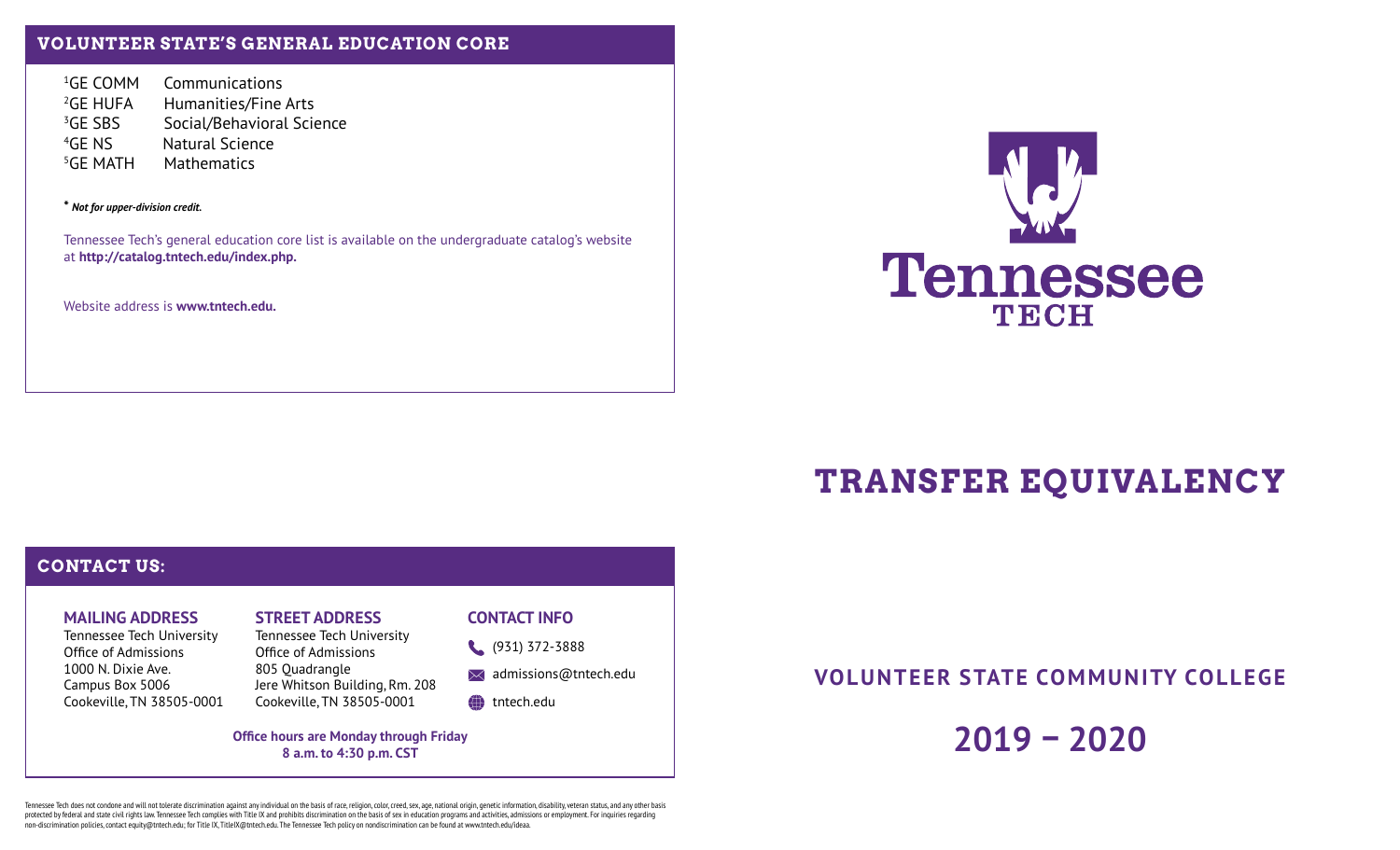## **VOLUNTEER STATE'S GENERAL EDUCATION CORE**

<sup>1</sup>GE COMM <sup>1</sup>GE COMM Communications<br><sup>2</sup>GE HUFA Humanities/Fine <sup>2</sup>GE HUFA Humanities/Fine Arts<br><sup>3</sup>GE SBS Social/Behavioral Scie  ${}^{3}$ GE SBS Social/Behavioral Science<br> ${}^{4}$ GE NS Natural Science <sup>4</sup>GE NS Natural Science<br><sup>5</sup>GE MATH Mathematics Mathematics

**\*** *Not for upper-division credit.*

Tennessee Tech's general education core list is available on the undergraduate catalog's website at **http://catalog.tntech.edu/index.php.**

Website address is **www.tntech.edu.**



# **TRANSFER EQUIVALENCY**

## **CONTACT US:**

### **MAILING ADDRESS**

Tennessee Tech University Office of Admissions 1000 N. Dixie Ave. Campus Box 5006 Cookeville, TN 38505-0001

## **STREET ADDRESS**

Tennessee Tech University Office of Admissions 805 Quadrangle Jere Whitson Building, Rm. 208 Cookeville, TN 38505-0001

#### **CONTACT INFO**

(931) 372-3888

 $\bowtie$  admissions@tntech.edu

**the the three than** 

**Office hours are Monday through Friday 8 a.m. to 4:30 p.m. CST**

**VOLUNTEER STATE COMMUNITY COLLEGE**

**2019 – 2020**

Tennessee Tech does not condone and will not tolerate discrimination against any individual on the basis of race, religion, color, creed, sex, age, national origin, genetic information, disability, veteran status, and any protected by federal and state civil rights law. Tennessee Tech complies with Title IX and prohibits discrimination on the basis of sex in education programs and activities, admissions or employment. For inquiries regarding non-discrimination policies, contact equity@tntech.edu; for Title IX, TitleIX@tntech.edu. The Tennessee Tech policy on nondiscrimination can be found at www.tntech.edu/ideaa.